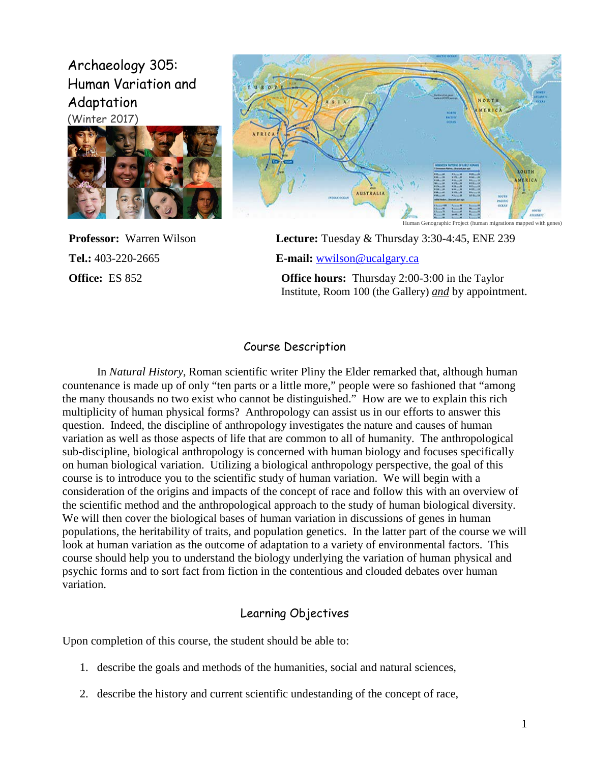# Archaeology 305: Human Variation and Adaptation (Winter 2017)





**Professor:** Warren Wilson **Lecture:** Tuesday & Thursday 3:30-4:45, ENE 239

**Tel.:** 403-220-2665 **E-mail:** [wwilson@ucalgary.ca](mailto:wwilson@ucalgary.ca)

**Office:** ES 852 **Office hours:** Thursday 2:00-3:00 in the Taylor Institute, Room 100 (the Gallery) *and* by appointment.

#### Course Description

In *Natural History*, Roman scientific writer Pliny the Elder remarked that, although human countenance is made up of only "ten parts or a little more," people were so fashioned that "among the many thousands no two exist who cannot be distinguished." How are we to explain this rich multiplicity of human physical forms? Anthropology can assist us in our efforts to answer this question. Indeed, the discipline of anthropology investigates the nature and causes of human variation as well as those aspects of life that are common to all of humanity. The anthropological sub-discipline, biological anthropology is concerned with human biology and focuses specifically on human biological variation. Utilizing a biological anthropology perspective, the goal of this course is to introduce you to the scientific study of human variation. We will begin with a consideration of the origins and impacts of the concept of race and follow this with an overview of the scientific method and the anthropological approach to the study of human biological diversity. We will then cover the biological bases of human variation in discussions of genes in human populations, the heritability of traits, and population genetics. In the latter part of the course we will look at human variation as the outcome of adaptation to a variety of environmental factors. This course should help you to understand the biology underlying the variation of human physical and psychic forms and to sort fact from fiction in the contentious and clouded debates over human variation.

# Learning Objectives

Upon completion of this course, the student should be able to:

- 1. describe the goals and methods of the humanities, social and natural sciences,
- 2. describe the history and current scientific undestanding of the concept of race,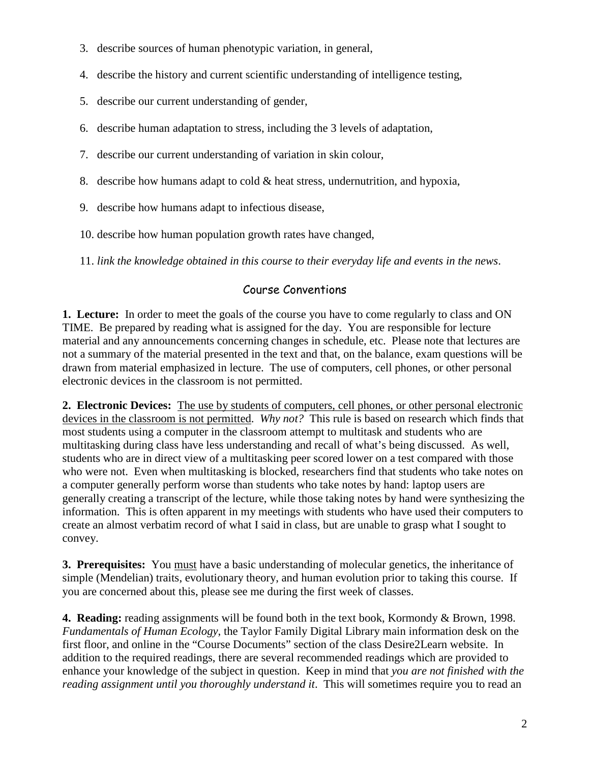- 3. describe sources of human phenotypic variation, in general,
- 4. describe the history and current scientific understanding of intelligence testing,
- 5. describe our current understanding of gender,
- 6. describe human adaptation to stress, including the 3 levels of adaptation,
- 7. describe our current understanding of variation in skin colour,
- 8. describe how humans adapt to cold & heat stress, undernutrition, and hypoxia,
- 9. describe how humans adapt to infectious disease,
- 10. describe how human population growth rates have changed,
- 11. *link the knowledge obtained in this course to their everyday life and events in the news*.

# Course Conventions

**1. Lecture:**In order to meet the goals of the course you have to come regularly to class and ON TIME. Be prepared by reading what is assigned for the day. You are responsible for lecture material and any announcements concerning changes in schedule, etc. Please note that lectures are not a summary of the material presented in the text and that, on the balance, exam questions will be drawn from material emphasized in lecture. The use of computers, cell phones, or other personal electronic devices in the classroom is not permitted.

**2. Electronic Devices:** The use by students of computers, cell phones, or other personal electronic devices in the classroom is not permitted. *Why not?* This rule is based on research which finds that most students using a computer in the classroom attempt to multitask and students who are multitasking during class have less understanding and recall of what's being discussed. As well, students who are in direct view of a multitasking peer scored lower on a test compared with those who were not. Even when multitasking is blocked, researchers find that students who take notes on a computer generally perform worse than students who take notes by hand: laptop users are generally creating a transcript of the lecture, while those taking notes by hand were synthesizing the information. This is often apparent in my meetings with students who have used their computers to create an almost verbatim record of what I said in class, but are unable to grasp what I sought to convey.

**3. Prerequisites:** You must have a basic understanding of molecular genetics, the inheritance of simple (Mendelian) traits, evolutionary theory, and human evolution prior to taking this course. If you are concerned about this, please see me during the first week of classes.

**4. Reading:** reading assignments will be found both in the text book, Kormondy & Brown, 1998. *Fundamentals of Human Ecology*, the Taylor Family Digital Library main information desk on the first floor, and online in the "Course Documents" section of the class Desire2Learn website. In addition to the required readings, there are several recommended readings which are provided to enhance your knowledge of the subject in question. Keep in mind that *you are not finished with the reading assignment until you thoroughly understand it*. This will sometimes require you to read an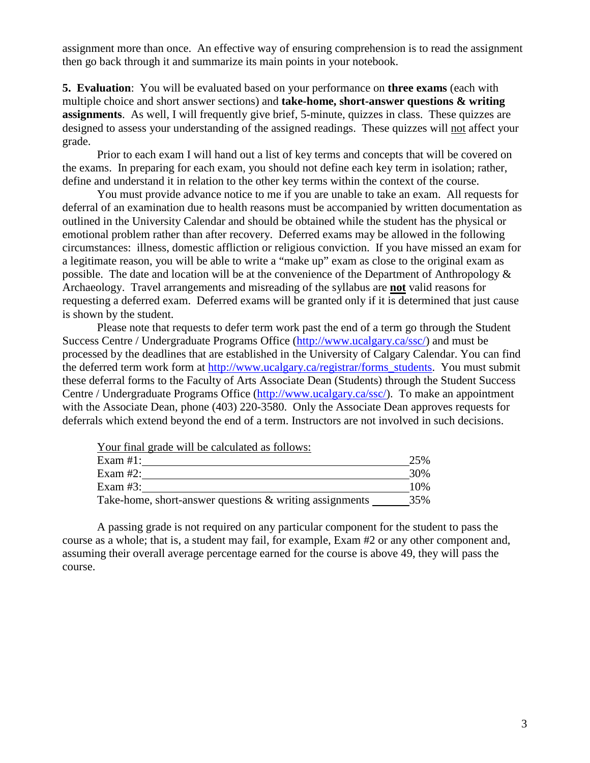assignment more than once. An effective way of ensuring comprehension is to read the assignment then go back through it and summarize its main points in your notebook.

**5. Evaluation**: You will be evaluated based on your performance on **three exams** (each with multiple choice and short answer sections) and **take-home, short-answer questions & writing assignments**. As well, I will frequently give brief, 5-minute, quizzes in class. These quizzes are designed to assess your understanding of the assigned readings. These quizzes will not affect your grade.

Prior to each exam I will hand out a list of key terms and concepts that will be covered on the exams. In preparing for each exam, you should not define each key term in isolation; rather, define and understand it in relation to the other key terms within the context of the course.

You must provide advance notice to me if you are unable to take an exam. All requests for deferral of an examination due to health reasons must be accompanied by written documentation as outlined in the University Calendar and should be obtained while the student has the physical or emotional problem rather than after recovery. Deferred exams may be allowed in the following circumstances: illness, domestic affliction or religious conviction. If you have missed an exam for a legitimate reason, you will be able to write a "make up" exam as close to the original exam as possible. The date and location will be at the convenience of the Department of Anthropology  $\&$ Archaeology. Travel arrangements and misreading of the syllabus are **not** valid reasons for requesting a deferred exam. Deferred exams will be granted only if it is determined that just cause is shown by the student.

Please note that requests to defer term work past the end of a term go through the Student Success Centre / Undergraduate Programs Office [\(http://www.ucalgary.ca/ssc/\)](http://www.ucalgary.ca/ssc/) and must be processed by the deadlines that are established in the University of Calgary Calendar. You can find the deferred term work form at [http://www.ucalgary.ca/registrar/forms\\_students.](http://www.ucalgary.ca/registrar/forms_students) You must submit these deferral forms to the Faculty of Arts Associate Dean (Students) through the Student Success Centre / Undergraduate Programs Office [\(http://www.ucalgary.ca/ssc/\)](http://www.ucalgary.ca/ssc/). To make an appointment with the Associate Dean, phone (403) 220-3580. Only the Associate Dean approves requests for deferrals which extend beyond the end of a term. Instructors are not involved in such decisions.

| Your final grade will be calculated as follows:            |     |
|------------------------------------------------------------|-----|
| Exam $#1$ :                                                | 25% |
| Exam $#2$ :                                                | 30% |
| Exam $#3$ :                                                | 10% |
| Take-home, short-answer questions $\&$ writing assignments | 35% |

A passing grade is not required on any particular component for the student to pass the course as a whole; that is, a student may fail, for example, Exam #2 or any other component and, assuming their overall average percentage earned for the course is above 49, they will pass the course.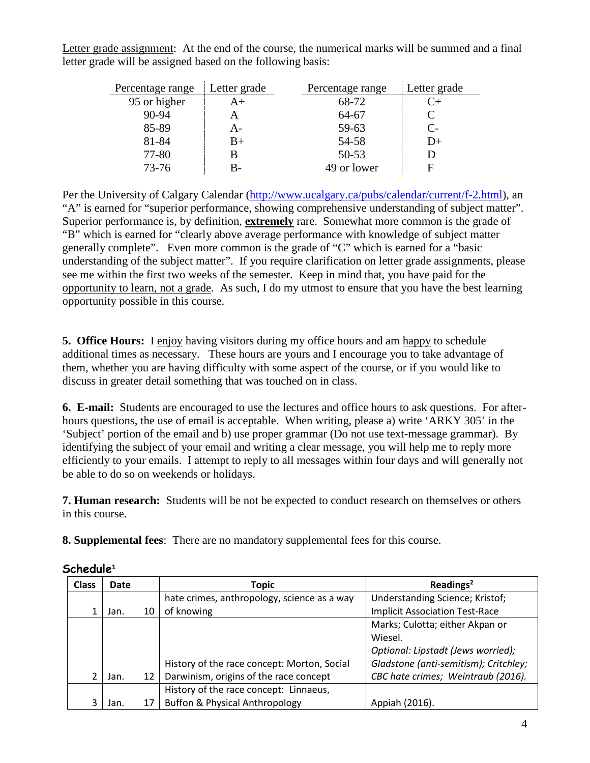Letter grade assignment: At the end of the course, the numerical marks will be summed and a final letter grade will be assigned based on the following basis:

| Percentage range | Letter grade | Percentage range | Letter grade         |
|------------------|--------------|------------------|----------------------|
| 95 or higher     | $A+$         | 68-72            | $C_{\pm}$            |
| $90 - 94$        |              | 64-67            | C                    |
| 85-89            | A-           | 59-63            | $\mathsf{C}\text{-}$ |
| 81-84            | $B+$         | 54-58            | $1) +$               |
| 77-80            |              | $50 - 53$        |                      |
| $73 - 76$        | B-           | 49 or lower      | F                    |

Per the University of Calgary Calendar [\(http://www.ucalgary.ca/pubs/calendar/current/f-2.html\)](http://www.ucalgary.ca/pubs/calendar/current/f-2.html), an "A" is earned for "superior performance, showing comprehensive understanding of subject matter". Superior performance is, by definition, **extremely** rare. Somewhat more common is the grade of "B" which is earned for "clearly above average performance with knowledge of subject matter generally complete". Even more common is the grade of "C" which is earned for a "basic understanding of the subject matter". If you require clarification on letter grade assignments, please see me within the first two weeks of the semester. Keep in mind that, you have paid for the opportunity to learn, not a grade. As such, I do my utmost to ensure that you have the best learning opportunity possible in this course.

**5. Office Hours:** I enjoy having visitors during my office hours and am happy to schedule additional times as necessary. These hours are yours and I encourage you to take advantage of them, whether you are having difficulty with some aspect of the course, or if you would like to discuss in greater detail something that was touched on in class.

**6. E-mail:** Students are encouraged to use the lectures and office hours to ask questions. For afterhours questions, the use of email is acceptable. When writing, please a) write 'ARKY 305' in the 'Subject' portion of the email and b) use proper grammar (Do not use text-message grammar). By identifying the subject of your email and writing a clear message, you will help me to reply more efficiently to your emails. I attempt to reply to all messages within four days and will generally not be able to do so on weekends or holidays.

**7. Human research:** Students will be not be expected to conduct research on themselves or others in this course.

**8. Supplemental fees**: There are no mandatory supplemental fees for this course.

| <b>Class</b> | Date |    | Topic                                       | Readings <sup>2</sup>                 |
|--------------|------|----|---------------------------------------------|---------------------------------------|
|              |      |    | hate crimes, anthropology, science as a way | Understanding Science; Kristof;       |
|              | Jan. | 10 | of knowing                                  | <b>Implicit Association Test-Race</b> |
|              |      |    |                                             | Marks; Culotta; either Akpan or       |
|              |      |    |                                             | Wiesel.                               |
|              |      |    |                                             | Optional: Lipstadt (Jews worried);    |
|              |      |    | History of the race concept: Morton, Social | Gladstone (anti-semitism); Critchley; |
|              | Jan. | 12 | Darwinism, origins of the race concept      | CBC hate crimes; Weintraub (2016).    |
|              |      |    | History of the race concept: Linnaeus,      |                                       |
|              | Jan. | 17 | Buffon & Physical Anthropology              | Appiah (2016).                        |

# **Schedule<sup>1</sup>**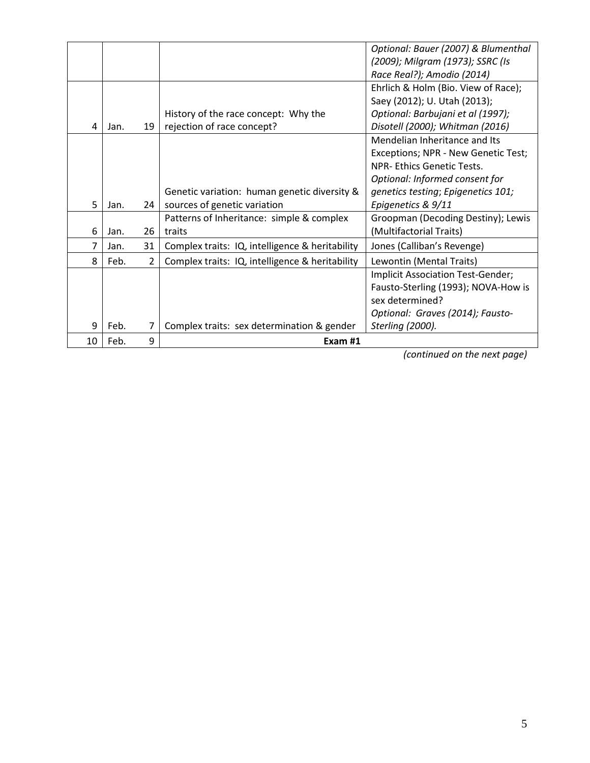| 10 | Feb. | 9  | Exam #1                                         |                                     |
|----|------|----|-------------------------------------------------|-------------------------------------|
| 9  | Feb. | 7  | Complex traits: sex determination & gender      | Sterling (2000).                    |
|    |      |    |                                                 | Optional: Graves (2014); Fausto-    |
|    |      |    |                                                 | sex determined?                     |
|    |      |    |                                                 | Fausto-Sterling (1993); NOVA-How is |
|    |      |    |                                                 | Implicit Association Test-Gender;   |
| 8  | Feb. | 2  | Complex traits: IQ, intelligence & heritability | Lewontin (Mental Traits)            |
| 7  | Jan. | 31 | Complex traits: IQ, intelligence & heritability | Jones (Calliban's Revenge)          |
| 6  | Jan. | 26 | traits                                          | (Multifactorial Traits)             |
|    |      |    | Patterns of Inheritance: simple & complex       | Groopman (Decoding Destiny); Lewis  |
| 5  | Jan. | 24 | sources of genetic variation                    | Epigenetics & 9/11                  |
|    |      |    | Genetic variation: human genetic diversity &    | genetics testing; Epigenetics 101;  |
|    |      |    |                                                 | Optional: Informed consent for      |
|    |      |    |                                                 | <b>NPR-Ethics Genetic Tests.</b>    |
|    |      |    |                                                 | Exceptions; NPR - New Genetic Test; |
|    |      |    |                                                 | Mendelian Inheritance and Its       |
| 4  | Jan. | 19 | rejection of race concept?                      | Disotell (2000); Whitman (2016)     |
|    |      |    | History of the race concept: Why the            | Optional: Barbujani et al (1997);   |
|    |      |    |                                                 | Saey (2012); U. Utah (2013);        |
|    |      |    |                                                 | Ehrlich & Holm (Bio. View of Race); |
|    |      |    |                                                 | Race Real?); Amodio (2014)          |
|    |      |    |                                                 | (2009); Milgram (1973); SSRC (Is    |
|    |      |    |                                                 | Optional: Bauer (2007) & Blumenthal |

*(continued on the next page)*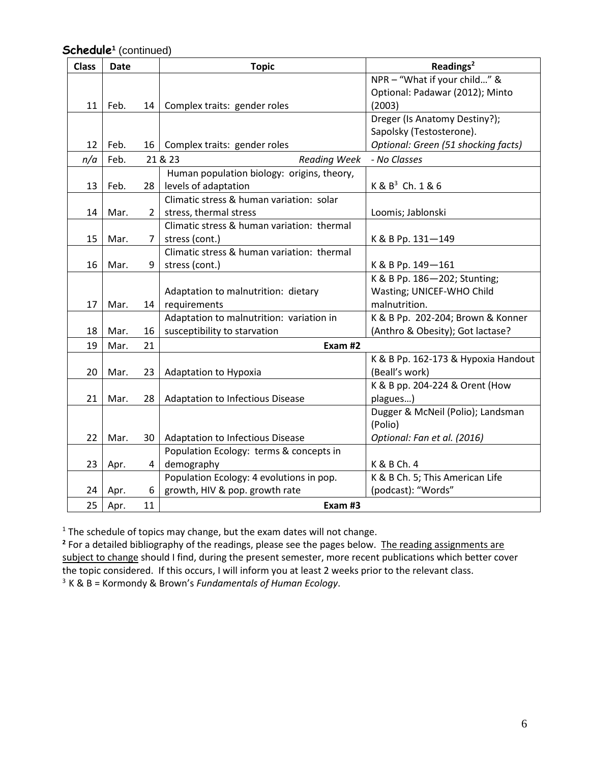| <b>Class</b> | Date |                | <b>Topic</b>                               | Readings <sup>2</sup>               |
|--------------|------|----------------|--------------------------------------------|-------------------------------------|
|              |      |                |                                            | NPR - "What if your child" &        |
|              |      |                |                                            | Optional: Padawar (2012); Minto     |
| 11           | Feb. | 14 I           | Complex traits: gender roles               | (2003)                              |
|              |      |                |                                            | Dreger (Is Anatomy Destiny?);       |
|              |      |                |                                            | Sapolsky (Testosterone).            |
| 12           | Feb. | 16             | Complex traits: gender roles               | Optional: Green (51 shocking facts) |
| n/a          | Feb. |                | 21 & 23<br><b>Reading Week</b>             | - No Classes                        |
|              |      |                | Human population biology: origins, theory, |                                     |
| 13           | Feb. | 28             | levels of adaptation                       | $K & B3$ Ch. 1 & 6                  |
|              |      |                | Climatic stress & human variation: solar   |                                     |
| 14           | Mar. | $\overline{2}$ | stress, thermal stress                     | Loomis; Jablonski                   |
|              |      |                | Climatic stress & human variation: thermal |                                     |
| 15           | Mar. | $\overline{7}$ | stress (cont.)                             | K & B Pp. 131-149                   |
|              |      |                | Climatic stress & human variation: thermal |                                     |
| 16           | Mar. | 9              | stress (cont.)                             | K & B Pp. 149-161                   |
|              |      |                |                                            | K & B Pp. 186-202; Stunting;        |
|              |      |                | Adaptation to malnutrition: dietary        | Wasting; UNICEF-WHO Child           |
| 17           | Mar. | 14             | requirements                               | malnutrition.                       |
|              |      |                | Adaptation to malnutrition: variation in   | K & B Pp. 202-204; Brown & Konner   |
| 18           | Mar. | 16             | susceptibility to starvation               | (Anthro & Obesity); Got lactase?    |
| 19           | Mar. | 21             | Exam #2                                    |                                     |
|              |      |                |                                            | K & B Pp. 162-173 & Hypoxia Handout |
| 20           | Mar. | 23             | Adaptation to Hypoxia                      | (Beall's work)                      |
|              |      |                |                                            | K & B pp. 204-224 & Orent (How      |
| 21           | Mar. | 28             | Adaptation to Infectious Disease           | plagues)                            |
|              |      |                |                                            | Dugger & McNeil (Polio); Landsman   |
|              |      |                |                                            | (Polio)                             |
| 22           | Mar. | 30             | <b>Adaptation to Infectious Disease</b>    | Optional: Fan et al. (2016)         |
|              |      |                | Population Ecology: terms & concepts in    |                                     |
| 23           | Apr. | 4              | demography                                 | K & B Ch. 4                         |
|              |      |                | Population Ecology: 4 evolutions in pop.   | K & B Ch. 5; This American Life     |
| 24           | Apr. | 6              | growth, HIV & pop. growth rate             | (podcast): "Words"                  |
| 25           | Apr. | 11             | Exam #3                                    |                                     |

# **Schedule<sup>1</sup>** (continued)

<sup>1</sup> The schedule of topics may change, but the exam dates will not change.

<sup>2</sup> For a detailed bibliography of the readings, please see the pages below. The reading assignments are subject to change should I find, during the present semester, more recent publications which better cover the topic considered. If this occurs, I will inform you at least 2 weeks prior to the relevant class. 3 K & B = Kormondy & Brown's *Fundamentals of Human Ecology*.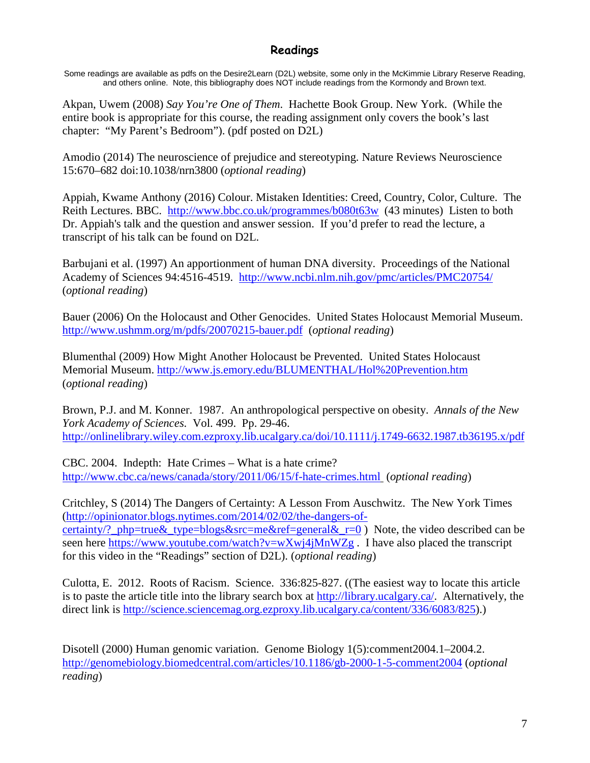# **Readings**

Some readings are available as pdfs on the Desire2Learn (D2L) website, some only in the McKimmie Library Reserve Reading, and others online. Note, this bibliography does NOT include readings from the Kormondy and Brown text.

Akpan, Uwem (2008) *Say You're One of Them*. Hachette Book Group. New York. (While the entire book is appropriate for this course, the reading assignment only covers the book's last chapter: "My Parent's Bedroom"). (pdf posted on D2L)

Amodio (2014) The neuroscience of prejudice and stereotyping. Nature Reviews Neuroscience 15:670–682 doi:10.1038/nrn3800 (*optional reading*)

Appiah, Kwame Anthony (2016) Colour. Mistaken Identities: Creed, Country, Color, Culture. The Reith Lectures. BBC. <http://www.bbc.co.uk/programmes/b080t63w> (43 minutes) Listen to both Dr. Appiah's talk and the question and answer session. If you'd prefer to read the lecture, a transcript of his talk can be found on D2L.

Barbujani et al. (1997) An apportionment of human DNA diversity. Proceedings of the National Academy of Sciences 94:4516-4519. <http://www.ncbi.nlm.nih.gov/pmc/articles/PMC20754/> (*optional reading*)

Bauer (2006) On the Holocaust and Other Genocides. United States Holocaust Memorial Museum. <http://www.ushmm.org/m/pdfs/20070215-bauer.pdf> (*optional reading*)

Blumenthal (2009) How Might Another Holocaust be Prevented. United States Holocaust Memorial Museum.<http://www.js.emory.edu/BLUMENTHAL/Hol%20Prevention.htm> (*optional reading*)

Brown, P.J. and M. Konner. 1987. An anthropological perspective on obesity. *Annals of the New York Academy of Sciences.* Vol. 499. Pp. 29-46. <http://onlinelibrary.wiley.com.ezproxy.lib.ucalgary.ca/doi/10.1111/j.1749-6632.1987.tb36195.x/pdf>

CBC. 2004. Indepth: Hate Crimes – What is a hate crime? <http://www.cbc.ca/news/canada/story/2011/06/15/f-hate-crimes.html> (*optional reading*)

Critchley, S (2014) The Dangers of Certainty: A Lesson From Auschwitz. The New York Times [\(http://opinionator.blogs.nytimes.com/2014/02/02/the-dangers-of](http://opinionator.blogs.nytimes.com/2014/02/02/the-dangers-of-certainty/?_php=true&_type=blogs&src=me&ref=general&_r=0)[certainty/?\\_php=true&\\_type=blogs&src=me&ref=general&\\_r=0](http://opinionator.blogs.nytimes.com/2014/02/02/the-dangers-of-certainty/?_php=true&_type=blogs&src=me&ref=general&_r=0) ) Note, the video described can be seen here<https://www.youtube.com/watch?v=wXwj4jMnWZg>. I have also placed the transcript for this video in the "Readings" section of D2L). (*optional reading*)

Culotta, E. 2012. Roots of Racism. Science. 336:825-827. ((The easiest way to locate this article is to paste the article title into the library search box at [http://library.ucalgary.ca/.](http://library.ucalgary.ca/) Alternatively, the direct link is [http://science.sciencemag.org.ezproxy.lib.ucalgary.ca/content/336/6083/825\)](http://science.sciencemag.org.ezproxy.lib.ucalgary.ca/content/336/6083/825).)

Disotell (2000) Human genomic variation. Genome Biology 1(5):comment2004.1–2004.2. <http://genomebiology.biomedcentral.com/articles/10.1186/gb-2000-1-5-comment2004> (*optional reading*)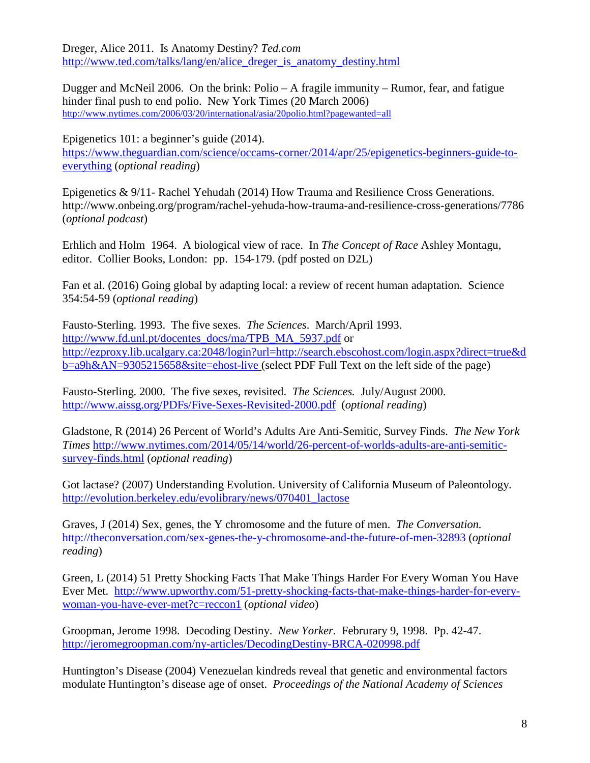Dreger, Alice 2011. Is Anatomy Destiny? *Ted.com* [http://www.ted.com/talks/lang/en/alice\\_dreger\\_is\\_anatomy\\_destiny.html](http://www.ted.com/talks/lang/en/alice_dreger_is_anatomy_destiny.html)

Dugger and McNeil 2006. On the brink: Polio – A fragile immunity – Rumor, fear, and fatigue hinder final push to end polio. New York Times (20 March 2006) <http://www.nytimes.com/2006/03/20/international/asia/20polio.html?pagewanted=all>

Epigenetics 101: a beginner's guide (2014). [https://www.theguardian.com/science/occams-corner/2014/apr/25/epigenetics-beginners-guide-to](https://www.theguardian.com/science/occams-corner/2014/apr/25/epigenetics-beginners-guide-to-everything)[everything](https://www.theguardian.com/science/occams-corner/2014/apr/25/epigenetics-beginners-guide-to-everything) (*optional reading*)

Epigenetics & 9/11- Rachel Yehudah (2014) How Trauma and Resilience Cross Generations. http://www.onbeing.org/program/rachel-yehuda-how-trauma-and-resilience-cross-generations/7786 (*optional podcast*)

Erhlich and Holm 1964. A biological view of race. In *The Concept of Race* Ashley Montagu, editor. Collier Books, London: pp. 154-179. (pdf posted on D2L)

Fan et al. (2016) Going global by adapting local: a review of recent human adaptation. Science 354:54-59 (*optional reading*)

Fausto-Sterling. 1993. The five sexes. *The Sciences*. March/April 1993. [http://www.fd.unl.pt/docentes\\_docs/ma/TPB\\_MA\\_5937.pdf](http://www.fd.unl.pt/docentes_docs/ma/TPB_MA_5937.pdf) or [http://ezproxy.lib.ucalgary.ca:2048/login?url=http://search.ebscohost.com/login.aspx?direct=true&d](http://ezproxy.lib.ucalgary.ca:2048/login?url=http://search.ebscohost.com/login.aspx?direct=true&db=a9h&AN=9305215658&site=ehost-live) [b=a9h&AN=9305215658&site=ehost-live](http://ezproxy.lib.ucalgary.ca:2048/login?url=http://search.ebscohost.com/login.aspx?direct=true&db=a9h&AN=9305215658&site=ehost-live) (select PDF Full Text on the left side of the page)

Fausto-Sterling. 2000. The five sexes, revisited. *The Sciences.* July/August 2000. <http://www.aissg.org/PDFs/Five-Sexes-Revisited-2000.pdf>(*optional reading*)

Gladstone, R (2014) 26 Percent of World's Adults Are Anti-Semitic, Survey Finds. *The New York Times* [http://www.nytimes.com/2014/05/14/world/26-percent-of-worlds-adults-are-anti-semitic](http://www.nytimes.com/2014/05/14/world/26-percent-of-worlds-adults-are-anti-semitic-survey-finds.html)[survey-finds.html](http://www.nytimes.com/2014/05/14/world/26-percent-of-worlds-adults-are-anti-semitic-survey-finds.html) (*optional reading*)

Got lactase? (2007) Understanding Evolution. University of California Museum of Paleontology. [http://evolution.berkeley.edu/evolibrary/news/070401\\_lactose](http://evolution.berkeley.edu/evolibrary/news/070401_lactose)

Graves, J (2014) Sex, genes, the Y chromosome and the future of men. *The Conversation.* <http://theconversation.com/sex-genes-the-y-chromosome-and-the-future-of-men-32893> (*optional reading*)

Green, L (2014) 51 Pretty Shocking Facts That Make Things Harder For Every Woman You Have Ever Met. [http://www.upworthy.com/51-pretty-shocking-facts-that-make-things-harder-for-every](http://www.upworthy.com/51-pretty-shocking-facts-that-make-things-harder-for-every-woman-you-have-ever-met?c=reccon1)[woman-you-have-ever-met?c=reccon1](http://www.upworthy.com/51-pretty-shocking-facts-that-make-things-harder-for-every-woman-you-have-ever-met?c=reccon1) (*optional video*)

Groopman, Jerome 1998. Decoding Destiny. *New Yorker.* Februrary 9, 1998. Pp. 42-47. <http://jeromegroopman.com/ny-articles/DecodingDestiny-BRCA-020998.pdf>

Huntington's Disease (2004) Venezuelan kindreds reveal that genetic and environmental factors modulate Huntington's disease age of onset. *Proceedings of the National Academy of Sciences*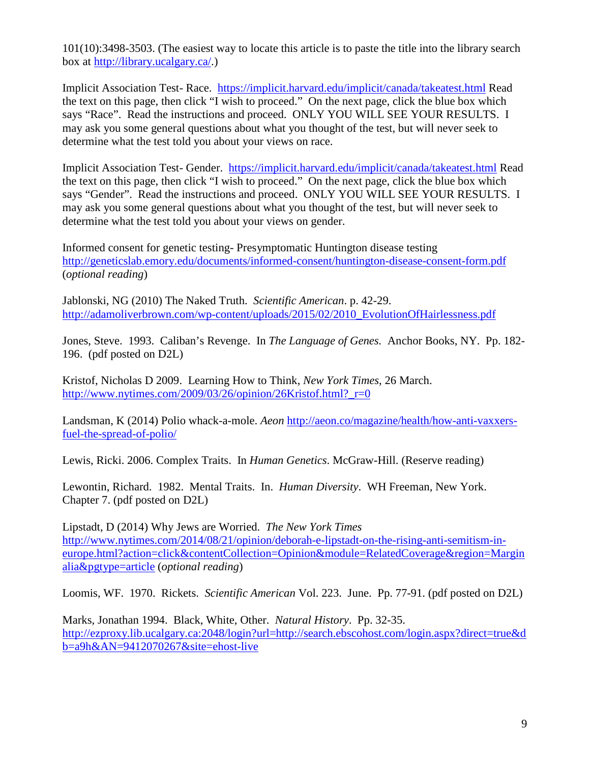101(10):3498-3503. (The easiest way to locate this article is to paste the title into the library search box at [http://library.ucalgary.ca/.](http://library.ucalgary.ca/))

Implicit Association Test- Race. <https://implicit.harvard.edu/implicit/canada/takeatest.html> Read the text on this page, then click "I wish to proceed." On the next page, click the blue box which says "Race". Read the instructions and proceed. ONLY YOU WILL SEE YOUR RESULTS. I may ask you some general questions about what you thought of the test, but will never seek to determine what the test told you about your views on race.

Implicit Association Test- Gender. <https://implicit.harvard.edu/implicit/canada/takeatest.html> Read the text on this page, then click "I wish to proceed." On the next page, click the blue box which says "Gender". Read the instructions and proceed. ONLY YOU WILL SEE YOUR RESULTS. I may ask you some general questions about what you thought of the test, but will never seek to determine what the test told you about your views on gender.

Informed consent for genetic testing- Presymptomatic Huntington disease testing <http://geneticslab.emory.edu/documents/informed-consent/huntington-disease-consent-form.pdf> (*optional reading*)

Jablonski, NG (2010) The Naked Truth. *Scientific American*. p. 42-29. [http://adamoliverbrown.com/wp-content/uploads/2015/02/2010\\_EvolutionOfHairlessness.pdf](http://adamoliverbrown.com/wp-content/uploads/2015/02/2010_EvolutionOfHairlessness.pdf)

Jones, Steve. 1993. Caliban's Revenge. In *The Language of Genes.* Anchor Books, NY. Pp. 182- 196. (pdf posted on D2L)

Kristof, Nicholas D 2009. Learning How to Think, *New York Times*, 26 March. http://www.nytimes.com/2009/03/26/opinion/26Kristof.html? $r=0$ 

Landsman, K (2014) Polio whack-a-mole. *Aeon* [http://aeon.co/magazine/health/how-anti-vaxxers](http://aeon.co/magazine/health/how-anti-vaxxers-fuel-the-spread-of-polio/)[fuel-the-spread-of-polio/](http://aeon.co/magazine/health/how-anti-vaxxers-fuel-the-spread-of-polio/)

Lewis, Ricki. 2006. Complex Traits. In *Human Genetics*. McGraw-Hill. (Reserve reading)

Lewontin, Richard. 1982. Mental Traits. In. *Human Diversity*. WH Freeman, New York. Chapter 7. (pdf posted on D2L)

Lipstadt, D (2014) Why Jews are Worried. *The New York Times* [http://www.nytimes.com/2014/08/21/opinion/deborah-e-lipstadt-on-the-rising-anti-semitism-in](http://www.nytimes.com/2014/08/21/opinion/deborah-e-lipstadt-on-the-rising-anti-semitism-in-europe.html?action=click&contentCollection=Opinion&module=RelatedCoverage®ion=Marginalia&pgtype=article)[europe.html?action=click&contentCollection=Opinion&module=RelatedCoverage&region=Margin](http://www.nytimes.com/2014/08/21/opinion/deborah-e-lipstadt-on-the-rising-anti-semitism-in-europe.html?action=click&contentCollection=Opinion&module=RelatedCoverage®ion=Marginalia&pgtype=article) [alia&pgtype=article](http://www.nytimes.com/2014/08/21/opinion/deborah-e-lipstadt-on-the-rising-anti-semitism-in-europe.html?action=click&contentCollection=Opinion&module=RelatedCoverage®ion=Marginalia&pgtype=article) (*optional reading*)

Loomis, WF. 1970. Rickets. *Scientific American* Vol. 223. June. Pp. 77-91. (pdf posted on D2L)

Marks, Jonathan 1994. Black, White, Other. *Natural History*. Pp. 32-35. [http://ezproxy.lib.ucalgary.ca:2048/login?url=http://search.ebscohost.com/login.aspx?direct=true&d](http://ezproxy.lib.ucalgary.ca:2048/login?url=http://search.ebscohost.com/login.aspx?direct=true&db=a9h&AN=9412070267&site=ehost-live) [b=a9h&AN=9412070267&site=ehost-live](http://ezproxy.lib.ucalgary.ca:2048/login?url=http://search.ebscohost.com/login.aspx?direct=true&db=a9h&AN=9412070267&site=ehost-live)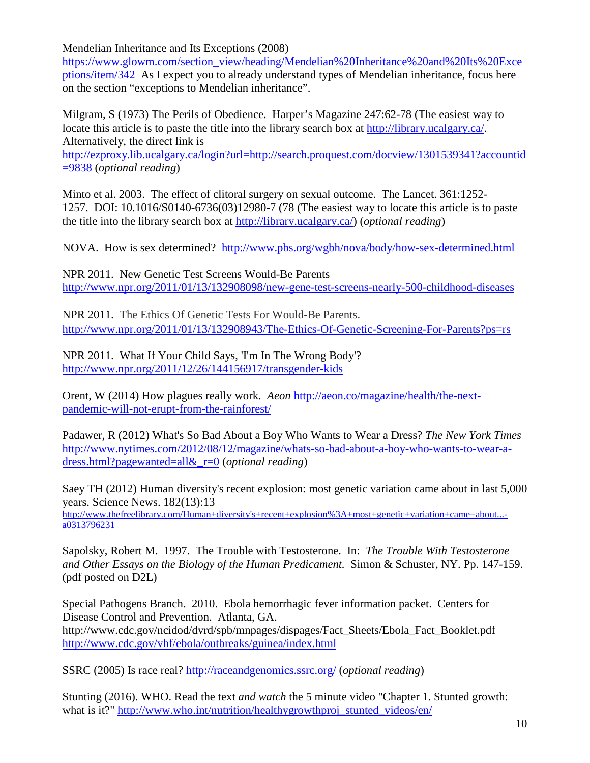Mendelian Inheritance and Its Exceptions (2008)

[https://www.glowm.com/section\\_view/heading/Mendelian%20Inheritance%20and%20Its%20Exce](https://www.glowm.com/section_view/heading/Mendelian%20Inheritance%20and%20Its%20Exceptions/item/342) [ptions/item/342](https://www.glowm.com/section_view/heading/Mendelian%20Inheritance%20and%20Its%20Exceptions/item/342) As I expect you to already understand types of Mendelian inheritance, focus here on the section "exceptions to Mendelian inheritance".

Milgram, S (1973) The Perils of Obedience. Harper's Magazine 247:62-78 (The easiest way to locate this article is to paste the title into the library search box at [http://library.ucalgary.ca/.](http://library.ucalgary.ca/) Alternatively, the direct link is

[http://ezproxy.lib.ucalgary.ca/login?url=http://search.proquest.com/docview/1301539341?accountid](http://ezproxy.lib.ucalgary.ca/login?url=http://search.proquest.com/docview/1301539341?accountid=9838) [=9838](http://ezproxy.lib.ucalgary.ca/login?url=http://search.proquest.com/docview/1301539341?accountid=9838) (*optional reading*)

Minto et al. 2003. The effect of clitoral surgery on sexual outcome. The Lancet. 361:1252- 1257. DOI: 10.1016/S0140-6736(03)12980-7 (78 (The easiest way to locate this article is to paste the title into the library search box at [http://library.ucalgary.ca/\)](http://library.ucalgary.ca/) (*optional reading*)

NOVA. How is sex determined? <http://www.pbs.org/wgbh/nova/body/how-sex-determined.html>

NPR 2011. New Genetic Test Screens Would-Be Parents <http://www.npr.org/2011/01/13/132908098/new-gene-test-screens-nearly-500-childhood-diseases>

NPR 2011. The Ethics Of Genetic Tests For Would-Be Parents. <http://www.npr.org/2011/01/13/132908943/The-Ethics-Of-Genetic-Screening-For-Parents?ps=rs>

NPR 2011. What If Your Child Says, 'I'm In The Wrong Body'? <http://www.npr.org/2011/12/26/144156917/transgender-kids>

Orent, W (2014) How plagues really work. *Aeon* [http://aeon.co/magazine/health/the-next](http://aeon.co/magazine/health/the-next-pandemic-will-not-erupt-from-the-rainforest/)[pandemic-will-not-erupt-from-the-rainforest/](http://aeon.co/magazine/health/the-next-pandemic-will-not-erupt-from-the-rainforest/)

Padawer, R (2012) What's So Bad About a Boy Who Wants to Wear a Dress? *The New York Times* [http://www.nytimes.com/2012/08/12/magazine/whats-so-bad-about-a-boy-who-wants-to-wear-a](http://www.nytimes.com/2012/08/12/magazine/whats-so-bad-about-a-boy-who-wants-to-wear-a-dress.html?pagewanted=all&_r=0)[dress.html?pagewanted=all&\\_r=0](http://www.nytimes.com/2012/08/12/magazine/whats-so-bad-about-a-boy-who-wants-to-wear-a-dress.html?pagewanted=all&_r=0) (*optional reading*)

Saey TH (2012) Human diversity's recent explosion: most genetic variation came about in last 5,000 years. Science News. 182(13):13 [http://www.thefreelibrary.com/Human+diversity's+recent+explosion%3A+most+genetic+variation+came+about...-](http://www.thefreelibrary.com/Human+diversity)

[a0313796231](http://www.thefreelibrary.com/Human+diversity)

Sapolsky, Robert M. 1997. The Trouble with Testosterone. In: *The Trouble With Testosterone and Other Essays on the Biology of the Human Predicament.* Simon & Schuster, NY. Pp. 147-159. (pdf posted on D2L)

Special Pathogens Branch. 2010. Ebola hemorrhagic fever information packet. Centers for Disease Control and Prevention. Atlanta, GA. http://www.cdc.gov/ncidod/dvrd/spb/mnpages/dispages/Fact\_Sheets/Ebola\_Fact\_Booklet.pdf <http://www.cdc.gov/vhf/ebola/outbreaks/guinea/index.html>

SSRC (2005) Is race real?<http://raceandgenomics.ssrc.org/> (*optional reading*)

Stunting (2016). WHO. Read the text *and watch* the 5 minute video "Chapter 1. Stunted growth: what is it?" [http://www.who.int/nutrition/healthygrowthproj\\_stunted\\_videos/en/](http://www.who.int/nutrition/healthygrowthproj_stunted_videos/en/)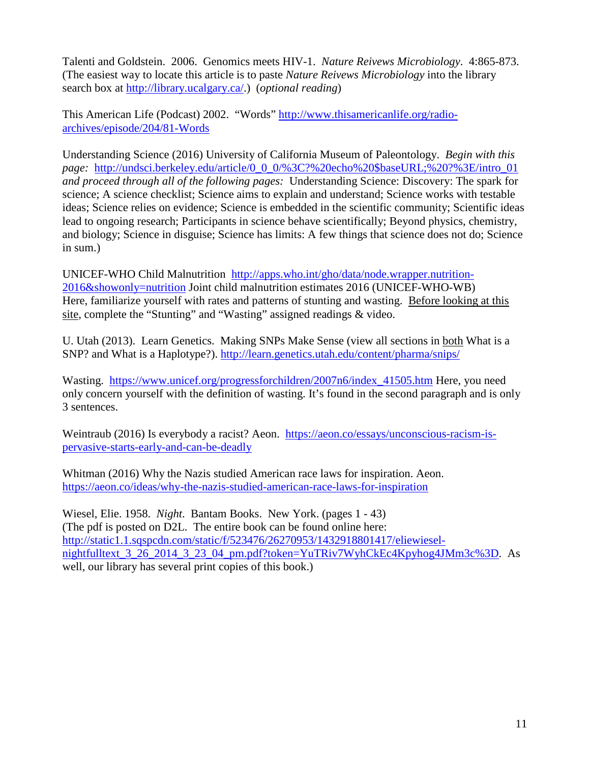Talenti and Goldstein. 2006. Genomics meets HIV-1. *Nature Reivews Microbiology*. 4:865-873. (The easiest way to locate this article is to paste *Nature Reivews Microbiology* into the library search box at [http://library.ucalgary.ca/.](http://library.ucalgary.ca/)) (*optional reading*)

This American Life (Podcast) 2002. "Words" [http://www.thisamericanlife.org/radio](http://www.thisamericanlife.org/radio-archives/episode/204/81-Words)[archives/episode/204/81-Words](http://www.thisamericanlife.org/radio-archives/episode/204/81-Words)

Understanding Science (2016) University of California Museum of Paleontology. *Begin with this page:* [http://undsci.berkeley.edu/article/0\\_0\\_0/%3C?%20echo%20\\$baseURL;%20?%3E/intro\\_01](http://undsci.berkeley.edu/article/0_0_0/%3C?%20echo%20$baseURL;%20?%3E/intro_01) *and proceed through all of the following pages:* Understanding Science: Discovery: The spark for science; A science checklist; Science aims to explain and understand; Science works with testable ideas; Science relies on evidence; Science is embedded in the scientific community; Scientific ideas lead to ongoing research; Participants in science behave scientifically; Beyond physics, chemistry, and biology; Science in disguise; Science has limits: A few things that science does not do; Science in sum.)

UNICEF-WHO Child Malnutrition [http://apps.who.int/gho/data/node.wrapper.nutrition-](http://apps.who.int/gho/data/node.wrapper.nutrition-2016&showonly=nutrition)[2016&showonly=nutrition](http://apps.who.int/gho/data/node.wrapper.nutrition-2016&showonly=nutrition) Joint child malnutrition estimates 2016 (UNICEF-WHO-WB) Here, familiarize yourself with rates and patterns of stunting and wasting. Before looking at this site, complete the "Stunting" and "Wasting" assigned readings & video.

U. Utah (2013). Learn Genetics. Making SNPs Make Sense (view all sections in both What is a SNP? and What is a Haplotype?).<http://learn.genetics.utah.edu/content/pharma/snips/>

Wasting. https://www.unicef.org/progressforchildren/2007n6/index 41505.htm Here, you need only concern yourself with the definition of wasting. It's found in the second paragraph and is only 3 sentences.

Weintraub (2016) Is everybody a racist? Aeon. [https://aeon.co/essays/unconscious-racism-is](https://aeon.co/essays/unconscious-racism-is-pervasive-starts-early-and-can-be-deadly)[pervasive-starts-early-and-can-be-deadly](https://aeon.co/essays/unconscious-racism-is-pervasive-starts-early-and-can-be-deadly)

Whitman (2016) Why the Nazis studied American race laws for inspiration. Aeon. <https://aeon.co/ideas/why-the-nazis-studied-american-race-laws-for-inspiration>

Wiesel, Elie. 1958. *Night*. Bantam Books. New York. (pages 1 - 43) (The pdf is posted on D2L. The entire book can be found online here: [http://static1.1.sqspcdn.com/static/f/523476/26270953/1432918801417/eliewiesel](http://static1.1.sqspcdn.com/static/f/523476/26270953/1432918801417/eliewiesel-nightfulltext_3_26_2014_3_23_04_pm.pdf?token=YuTRiv7WyhCkEc4Kpyhog4JMm3c%3D)nightfulltext 3 26 2014 3 23 04 pm.pdf?token=YuTRiv7WyhCkEc4Kpyhog4JMm3c%3D. As well, our library has several print copies of this book.)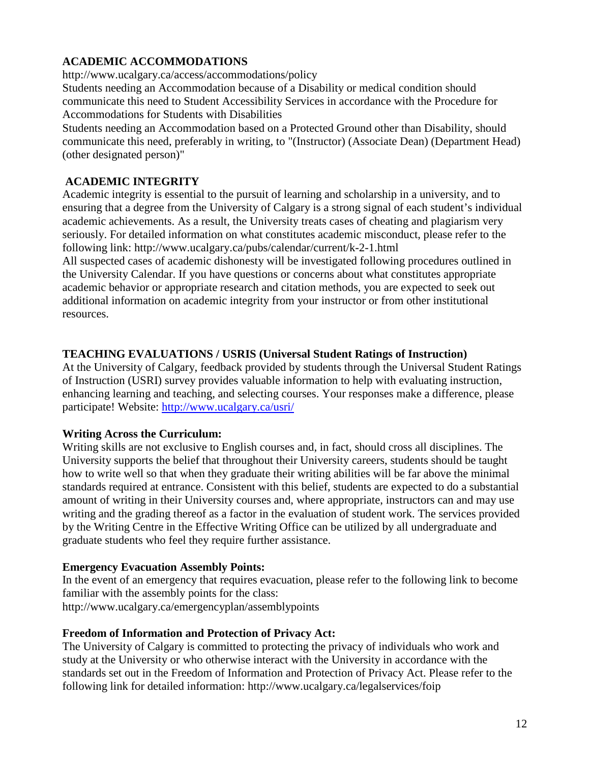# **ACADEMIC ACCOMMODATIONS**

http://www.ucalgary.ca/access/accommodations/policy

Students needing an Accommodation because of a Disability or medical condition should communicate this need to Student Accessibility Services in accordance with the Procedure for Accommodations for Students with Disabilities

Students needing an Accommodation based on a Protected Ground other than Disability, should communicate this need, preferably in writing, to "(Instructor) (Associate Dean) (Department Head) (other designated person)"

# **ACADEMIC INTEGRITY**

Academic integrity is essential to the pursuit of learning and scholarship in a university, and to ensuring that a degree from the University of Calgary is a strong signal of each student's individual academic achievements. As a result, the University treats cases of cheating and plagiarism very seriously. For detailed information on what constitutes academic misconduct, please refer to the following link: http://www.ucalgary.ca/pubs/calendar/current/k-2-1.html

All suspected cases of academic dishonesty will be investigated following procedures outlined in the University Calendar. If you have questions or concerns about what constitutes appropriate academic behavior or appropriate research and citation methods, you are expected to seek out additional information on academic integrity from your instructor or from other institutional resources.

# **TEACHING EVALUATIONS / USRIS (Universal Student Ratings of Instruction)**

At the University of Calgary, feedback provided by students through the Universal Student Ratings of Instruction (USRI) survey provides valuable information to help with evaluating instruction, enhancing learning and teaching, and selecting courses. Your responses make a difference, please participate! Website:<http://www.ucalgary.ca/usri/>

# **Writing Across the Curriculum:**

Writing skills are not exclusive to English courses and, in fact, should cross all disciplines. The University supports the belief that throughout their University careers, students should be taught how to write well so that when they graduate their writing abilities will be far above the minimal standards required at entrance. Consistent with this belief, students are expected to do a substantial amount of writing in their University courses and, where appropriate, instructors can and may use writing and the grading thereof as a factor in the evaluation of student work. The services provided by the Writing Centre in the Effective Writing Office can be utilized by all undergraduate and graduate students who feel they require further assistance.

# **Emergency Evacuation Assembly Points:**

In the event of an emergency that requires evacuation, please refer to the following link to become familiar with the assembly points for the class: http://www.ucalgary.ca/emergencyplan/assemblypoints

# **Freedom of Information and Protection of Privacy Act:**

The University of Calgary is committed to protecting the privacy of individuals who work and study at the University or who otherwise interact with the University in accordance with the standards set out in the Freedom of Information and Protection of Privacy Act. Please refer to the following link for detailed information: http://www.ucalgary.ca/legalservices/foip